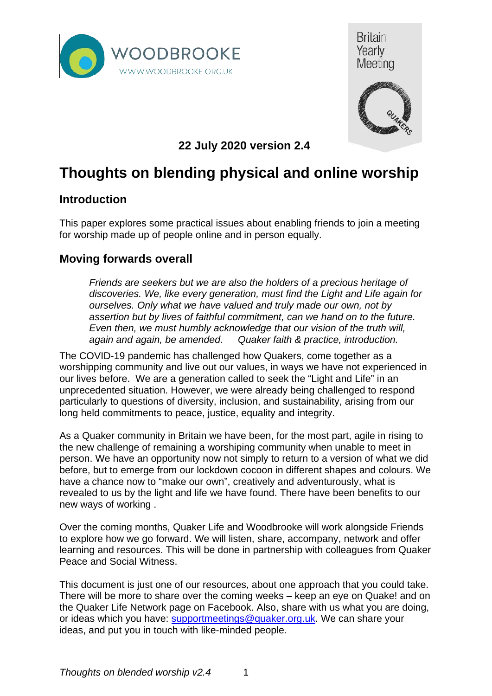





**22 July 2020 version 2.4**

# **Thoughts on blending physical and online worship**

#### **Introduction**

This paper explores some practical issues about enabling friends to join a meeting for worship made up of people online and in person equally.

#### **Moving forwards overall**

*Friends are seekers but we are also the holders of a precious heritage of discoveries. We, like every generation, must find the Light and Life again for ourselves. Only what we have valued and truly made our own, not by assertion but by lives of faithful commitment, can we hand on to the future. Even then, we must humbly acknowledge that our vision of the truth will, again and again, be amended. Quaker faith & practice, introduction.*

The COVID-19 pandemic has challenged how Quakers, come together as a worshipping community and live out our values, in ways we have not experienced in our lives before. We are a generation called to seek the "Light and Life" in an unprecedented situation. However, we were already being challenged to respond particularly to questions of diversity, inclusion, and sustainability, arising from our long held commitments to peace, justice, equality and integrity.

As a Quaker community in Britain we have been, for the most part, agile in rising to the new challenge of remaining a worshiping community when unable to meet in person. We have an opportunity now not simply to return to a version of what we did before, but to emerge from our lockdown cocoon in different shapes and colours. We have a chance now to "make our own", creatively and adventurously, what is revealed to us by the light and life we have found. There have been benefits to our new ways of working .

Over the coming months, Quaker Life and Woodbrooke will work alongside Friends to explore how we go forward. We will listen, share, accompany, network and offer learning and resources. This will be done in partnership with colleagues from Quaker Peace and Social Witness.

This document is just one of our resources, about one approach that you could take. There will be more to share over the coming weeks – keep an eye on Quake! and on the Quaker Life Network page on Facebook. Also, share with us what you are doing, or ideas which you have: [supportmeetings@quaker.org.uk.](mailto:supportmeetings@quaker.org.uk) We can share your ideas, and put you in touch with like-minded people.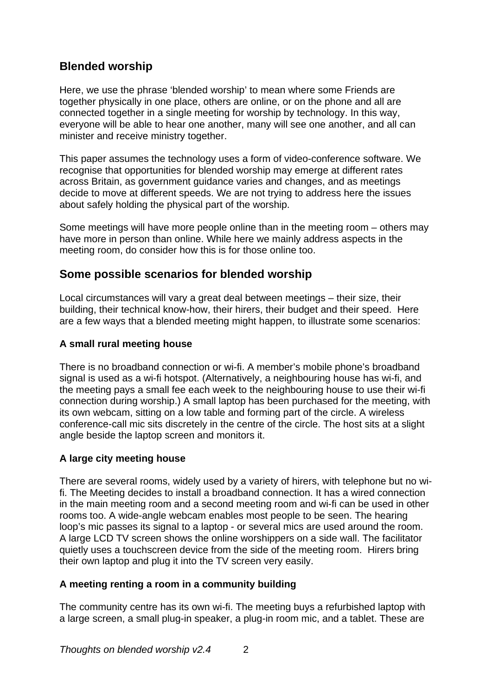#### **Blended worship**

Here, we use the phrase 'blended worship' to mean where some Friends are together physically in one place, others are online, or on the phone and all are connected together in a single meeting for worship by technology. In this way, everyone will be able to hear one another, many will see one another, and all can minister and receive ministry together.

This paper assumes the technology uses a form of video-conference software. We recognise that opportunities for blended worship may emerge at different rates across Britain, as government guidance varies and changes, and as meetings decide to move at different speeds. We are not trying to address here the issues about safely holding the physical part of the worship.

Some meetings will have more people online than in the meeting room – others may have more in person than online. While here we mainly address aspects in the meeting room, do consider how this is for those online too.

#### **Some possible scenarios for blended worship**

Local circumstances will vary a great deal between meetings – their size, their building, their technical know-how, their hirers, their budget and their speed. Here are a few ways that a blended meeting might happen, to illustrate some scenarios:

#### **A small rural meeting house**

There is no broadband connection or wi-fi. A member's mobile phone's broadband signal is used as a wi-fi hotspot. (Alternatively, a neighbouring house has wi-fi, and the meeting pays a small fee each week to the neighbouring house to use their wi-fi connection during worship.) A small laptop has been purchased for the meeting, with its own webcam, sitting on a low table and forming part of the circle. A wireless conference-call mic sits discretely in the centre of the circle. The host sits at a slight angle beside the laptop screen and monitors it.

#### **A large city meeting house**

There are several rooms, widely used by a variety of hirers, with telephone but no wifi. The Meeting decides to install a broadband connection. It has a wired connection in the main meeting room and a second meeting room and wi-fi can be used in other rooms too. A wide-angle webcam enables most people to be seen. The hearing loop's mic passes its signal to a laptop - or several mics are used around the room. A large LCD TV screen shows the online worshippers on a side wall. The facilitator quietly uses a touchscreen device from the side of the meeting room. Hirers bring their own laptop and plug it into the TV screen very easily.

#### **A meeting renting a room in a community building**

The community centre has its own wi-fi. The meeting buys a refurbished laptop with a large screen, a small plug-in speaker, a plug-in room mic, and a tablet. These are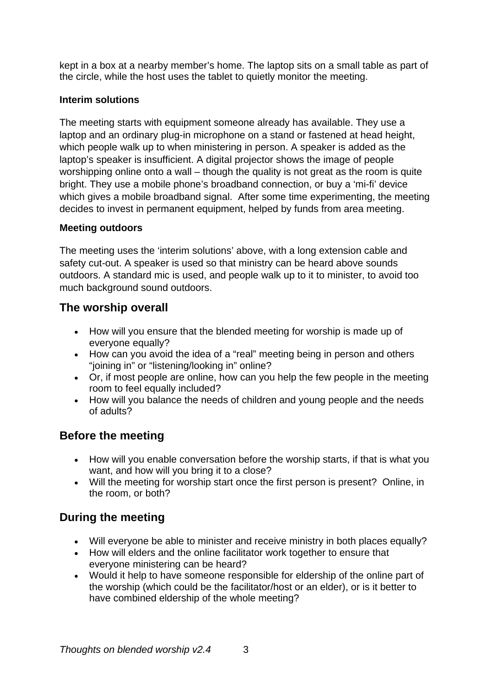kept in a box at a nearby member's home. The laptop sits on a small table as part of the circle, while the host uses the tablet to quietly monitor the meeting.

#### **Interim solutions**

The meeting starts with equipment someone already has available. They use a laptop and an ordinary plug-in microphone on a stand or fastened at head height, which people walk up to when ministering in person. A speaker is added as the laptop's speaker is insufficient. A digital projector shows the image of people worshipping online onto a wall – though the quality is not great as the room is quite bright. They use a mobile phone's broadband connection, or buy a 'mi-fi' device which gives a mobile broadband signal. After some time experimenting, the meeting decides to invest in permanent equipment, helped by funds from area meeting.

#### **Meeting outdoors**

The meeting uses the 'interim solutions' above, with a long extension cable and safety cut-out. A speaker is used so that ministry can be heard above sounds outdoors. A standard mic is used, and people walk up to it to minister, to avoid too much background sound outdoors.

### **The worship overall**

- How will you ensure that the blended meeting for worship is made up of everyone equally?
- How can you avoid the idea of a "real" meeting being in person and others "joining in" or "listening/looking in" online?
- Or, if most people are online, how can you help the few people in the meeting room to feel equally included?
- How will you balance the needs of children and young people and the needs of adults?

### **Before the meeting**

- How will you enable conversation before the worship starts, if that is what you want, and how will you bring it to a close?
- Will the meeting for worship start once the first person is present? Online, in the room, or both?

### **During the meeting**

- Will everyone be able to minister and receive ministry in both places equally?
- How will elders and the online facilitator work together to ensure that everyone ministering can be heard?
- Would it help to have someone responsible for eldership of the online part of the worship (which could be the facilitator/host or an elder), or is it better to have combined eldership of the whole meeting?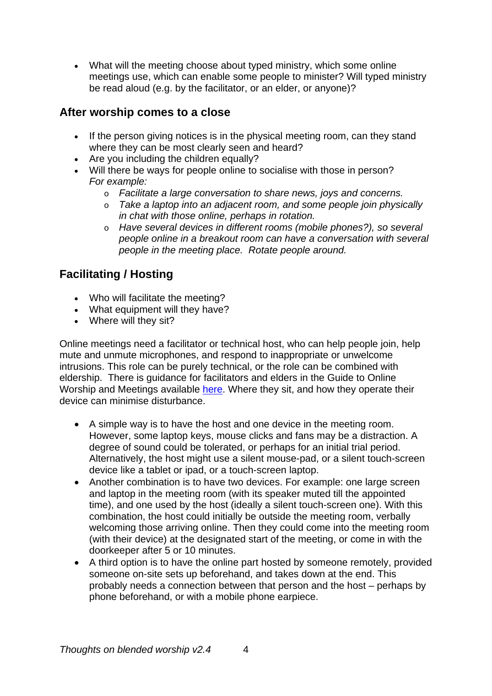• What will the meeting choose about typed ministry, which some online meetings use, which can enable some people to minister? Will typed ministry be read aloud (e.g. by the facilitator, or an elder, or anyone)?

### **After worship comes to a close**

- If the person giving notices is in the physical meeting room, can they stand where they can be most clearly seen and heard?
- Are you including the children equally?
- Will there be ways for people online to socialise with those in person? *For example:*
	- o *Facilitate a large conversation to share news, joys and concerns.*
	- o *Take a laptop into an adjacent room, and some people join physically in chat with those online, perhaps in rotation.*
	- o *Have several devices in different rooms (mobile phones?), so several people online in a breakout room can have a conversation with several people in the meeting place. Rotate people around.*

### **Facilitating / Hosting**

- Who will facilitate the meeting?
- What equipment will they have?
- Where will they sit?

Online meetings need a facilitator or technical host, who can help people join, help mute and unmute microphones, and respond to inappropriate or unwelcome intrusions. This role can be purely technical, or the role can be combined with eldership. There is guidance for facilitators and elders in the Guide to Online Worship and Meetings available [here.](https://www.woodbrooke.org.uk/about/online-mfw/setting-up-mfw/) Where they sit, and how they operate their device can minimise disturbance.

- A simple way is to have the host and one device in the meeting room. However, some laptop keys, mouse clicks and fans may be a distraction. A degree of sound could be tolerated, or perhaps for an initial trial period. Alternatively, the host might use a silent mouse-pad, or a silent touch-screen device like a tablet or ipad, or a touch-screen laptop.
- Another combination is to have two devices. For example: one large screen and laptop in the meeting room (with its speaker muted till the appointed time), and one used by the host (ideally a silent touch-screen one). With this combination, the host could initially be outside the meeting room, verbally welcoming those arriving online. Then they could come into the meeting room (with their device) at the designated start of the meeting, or come in with the doorkeeper after 5 or 10 minutes.
- A third option is to have the online part hosted by someone remotely, provided someone on-site sets up beforehand, and takes down at the end. This probably needs a connection between that person and the host – perhaps by phone beforehand, or with a mobile phone earpiece.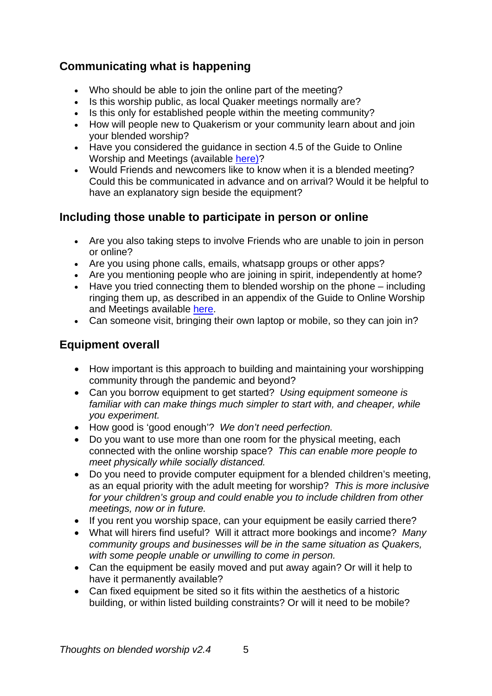# **Communicating what is happening**

- Who should be able to join the online part of the meeting?
- Is this worship public, as local Quaker meetings normally are?
- Is this only for established people within the meeting community?
- How will people new to Quakerism or your community learn about and join your blended worship?
- Have you considered the guidance in section 4.5 of the Guide to Online Worship and Meetings (available [here\)](https://www.woodbrooke.org.uk/about/online-mfw/setting-up-mfw/)?
- Would Friends and newcomers like to know when it is a blended meeting? Could this be communicated in advance and on arrival? Would it be helpful to have an explanatory sign beside the equipment?

### **Including those unable to participate in person or online**

- Are you also taking steps to involve Friends who are unable to join in person or online?
- Are you using phone calls, emails, whatsapp groups or other apps?
- Are you mentioning people who are joining in spirit, independently at home?
- Have you tried connecting them to blended worship on the phone including ringing them up, as described in an appendix of the Guide to Online Worship and Meetings available [here.](https://www.woodbrooke.org.uk/about/online-mfw/setting-up-mfw/)
- Can someone visit, bringing their own laptop or mobile, so they can join in?

# **Equipment overall**

- How important is this approach to building and maintaining your worshipping community through the pandemic and beyond?
- Can you borrow equipment to get started? *Using equipment someone is familiar with can make things much simpler to start with, and cheaper, while you experiment.*
- How good is 'good enough'? *We don't need perfection.*
- Do you want to use more than one room for the physical meeting, each connected with the online worship space? *This can enable more people to meet physically while socially distanced.*
- Do you need to provide computer equipment for a blended children's meeting, as an equal priority with the adult meeting for worship? *This is more inclusive for your children's group and could enable you to include children from other meetings, now or in future.*
- If you rent you worship space, can your equipment be easily carried there?
- What will hirers find useful? Will it attract more bookings and income? *Many community groups and businesses will be in the same situation as Quakers, with some people unable or unwilling to come in person.*
- Can the equipment be easily moved and put away again? Or will it help to have it permanently available?
- Can fixed equipment be sited so it fits within the aesthetics of a historic building, or within listed building constraints? Or will it need to be mobile?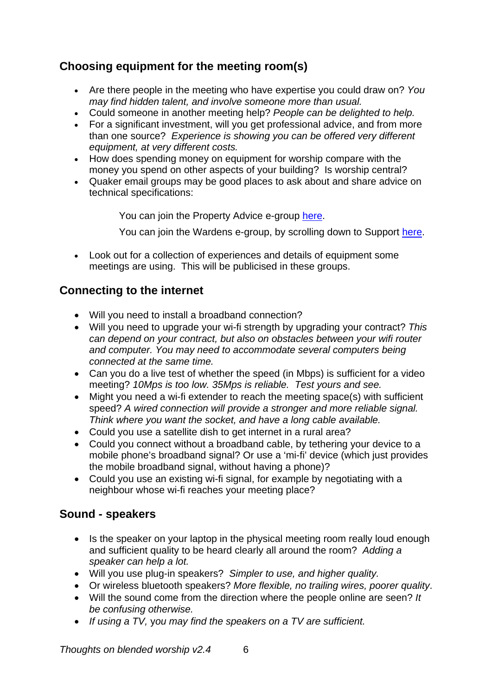# **Choosing equipment for the meeting room(s)**

- Are there people in the meeting who have expertise you could draw on? *You may find hidden talent, and involve someone more than usual.*
- Could someone in another meeting help? *People can be delighted to help.*
- For a significant investment, will you get professional advice, and from more than one source? *Experience is showing you can be offered very different equipment, at very different costs.*
- How does spending money on equipment for worship compare with the money you spend on other aspects of your building? Is worship central?
- Quaker email groups may be good places to ask about and share advice on technical specifications:

You can join the Property Advice e-group [here.](https://www.quaker.org.uk/our-organisation/support-for-meetings/property-advice-1)

You can join the Wardens e-group, by scrolling down to Support [here.](https://www.quaker.org.uk/our-organisation/quaker-roles/employers-wardens#heading-1)

• Look out for a collection of experiences and details of equipment some meetings are using. This will be publicised in these groups.

### **Connecting to the internet**

- Will you need to install a broadband connection?
- Will you need to upgrade your wi-fi strength by upgrading your contract? *This can depend on your contract, but also on obstacles between your wifi router and computer. You may need to accommodate several computers being connected at the same time.*
- Can you do a live test of whether the speed (in Mbps) is sufficient for a video meeting? *10Mps is too low. 35Mps is reliable. Test yours and see.*
- Might you need a wi-fi extender to reach the meeting space(s) with sufficient speed? *A wired connection will provide a stronger and more reliable signal. Think where you want the socket, and have a long cable available.*
- Could you use a satellite dish to get internet in a rural area?
- Could you connect without a broadband cable, by tethering your device to a mobile phone's broadband signal? Or use a 'mi-fi' device (which just provides the mobile broadband signal, without having a phone)?
- Could you use an existing wi-fi signal, for example by negotiating with a neighbour whose wi-fi reaches your meeting place?

### **Sound - speakers**

- Is the speaker on your laptop in the physical meeting room really loud enough and sufficient quality to be heard clearly all around the room? *Adding a speaker can help a lot.*
- Will you use plug-in speakers? *Simpler to use, and higher quality.*
- Or wireless bluetooth speakers? *More flexible, no trailing wires, poorer quality*.
- Will the sound come from the direction where the people online are seen? *It be confusing otherwise.*
- *If using a TV,* y*ou may find the speakers on a TV are sufficient.*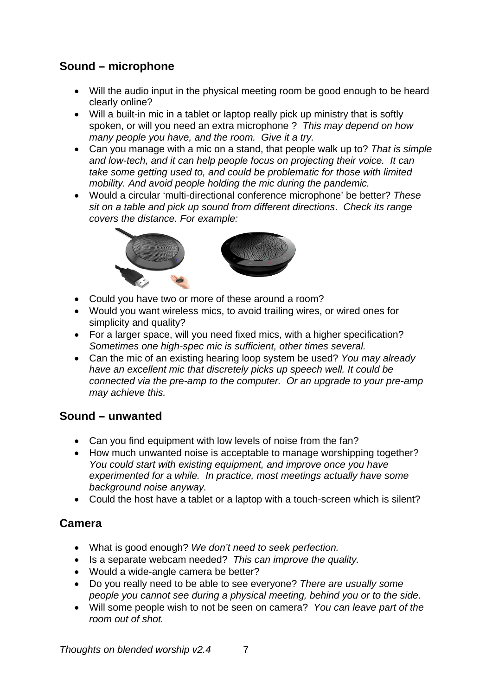# **Sound – microphone**

- Will the audio input in the physical meeting room be good enough to be heard clearly online?
- Will a built-in mic in a tablet or laptop really pick up ministry that is softly spoken, or will you need an extra microphone ? *This may depend on how many people you have, and the room. Give it a try.*
- Can you manage with a mic on a stand, that people walk up to? *That is simple and low-tech, and it can help people focus on projecting their voice. It can take some getting used to, and could be problematic for those with limited mobility. And avoid people holding the mic during the pandemic.*
- Would a circular 'multi-directional conference microphone' be better? *These sit on a table and pick up sound from different directions*. *Check its range covers the distance. For example:*



- Could you have two or more of these around a room?
- Would you want wireless mics, to avoid trailing wires, or wired ones for simplicity and quality?
- For a larger space, will you need fixed mics, with a higher specification? *Sometimes one high-spec mic is sufficient, other times several.*
- Can the mic of an existing hearing loop system be used? *You may already have an excellent mic that discretely picks up speech well. It could be connected via the pre-amp to the computer. Or an upgrade to your pre-amp may achieve this.*

#### **Sound – unwanted**

- Can you find equipment with low levels of noise from the fan?
- How much unwanted noise is acceptable to manage worshipping together? *You could start with existing equipment, and improve once you have experimented for a while. In practice, most meetings actually have some background noise anyway.*
- Could the host have a tablet or a laptop with a touch-screen which is silent?

#### **Camera**

- What is good enough? *We don't need to seek perfection.*
- Is a separate webcam needed? *This can improve the quality.*
- Would a wide-angle camera be better?
- Do you really need to be able to see everyone? *There are usually some people you cannot see during a physical meeting, behind you or to the side*.
- Will some people wish to not be seen on camera? *You can leave part of the room out of shot.*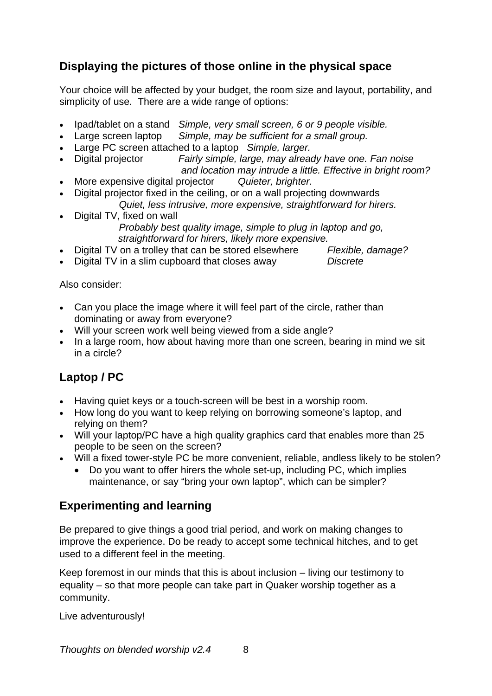## **Displaying the pictures of those online in the physical space**

Your choice will be affected by your budget, the room size and layout, portability, and simplicity of use. There are a wide range of options:

- Ipad/tablet on a stand *Simple, very small screen, 6 or 9 people visible.*
- Large screen laptop *Simple, may be sufficient for a small group.*
- Large PC screen attached to a laptop *Simple, larger.*
- Digital projector *Fairly simple, large, may already have one. Fan noise and location may intrude a little. Effective in bright room?*
- More expensive digital projector *Quieter, brighter.*
- Digital projector fixed in the ceiling, or on a wall projecting downwards *Quiet, less intrusive, more expensive, straightforward for hirers.*
- Digital TV, fixed on wall *Probably best quality image, simple to plug in laptop and go,* 
	- *straightforward for hirers, likely more expensive.*
- Digital TV on a trolley that can be stored elsewhere *Flexible, damage?*
- Digital TV in a slim cupboard that closes away *Discrete*

Also consider:

- Can you place the image where it will feel part of the circle, rather than dominating or away from everyone?
- Will your screen work well being viewed from a side angle?
- In a large room, how about having more than one screen, bearing in mind we sit in a circle?

# **Laptop / PC**

- Having quiet keys or a touch-screen will be best in a worship room.
- How long do you want to keep relying on borrowing someone's laptop, and relying on them?
- Will your laptop/PC have a high quality graphics card that enables more than 25 people to be seen on the screen?
- Will a fixed tower-style PC be more convenient, reliable, andless likely to be stolen?
	- Do you want to offer hirers the whole set-up, including PC, which implies maintenance, or say "bring your own laptop", which can be simpler?

#### **Experimenting and learning**

Be prepared to give things a good trial period, and work on making changes to improve the experience. Do be ready to accept some technical hitches, and to get used to a different feel in the meeting.

Keep foremost in our minds that this is about inclusion – living our testimony to equality – so that more people can take part in Quaker worship together as a community.

Live adventurously!